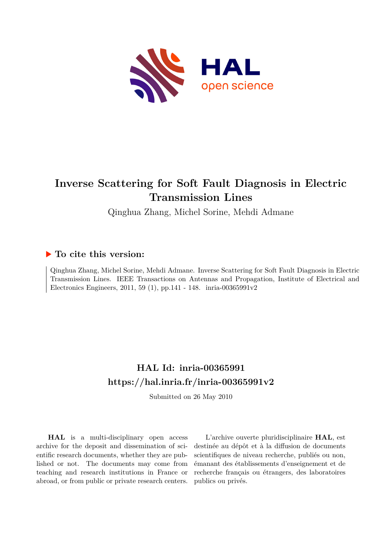

# **Inverse Scattering for Soft Fault Diagnosis in Electric Transmission Lines**

Qinghua Zhang, Michel Sorine, Mehdi Admane

# **To cite this version:**

Qinghua Zhang, Michel Sorine, Mehdi Admane. Inverse Scattering for Soft Fault Diagnosis in Electric Transmission Lines. IEEE Transactions on Antennas and Propagation, Institute of Electrical and Electronics Engineers, 2011, 59 (1), pp.141 - 148. inria-00365991v2

# **HAL Id: inria-00365991 <https://hal.inria.fr/inria-00365991v2>**

Submitted on 26 May 2010

**HAL** is a multi-disciplinary open access archive for the deposit and dissemination of scientific research documents, whether they are published or not. The documents may come from teaching and research institutions in France or abroad, or from public or private research centers.

L'archive ouverte pluridisciplinaire **HAL**, est destinée au dépôt et à la diffusion de documents scientifiques de niveau recherche, publiés ou non, émanant des établissements d'enseignement et de recherche français ou étrangers, des laboratoires publics ou privés.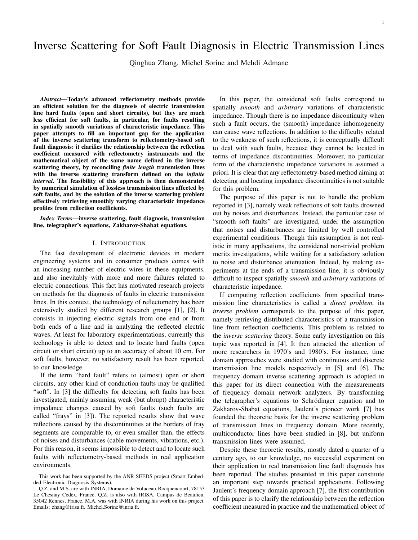# Inverse Scattering for Soft Fault Diagnosis in Electric Transmission Lines

Qinghua Zhang, Michel Sorine and Mehdi Admane

*Abstract*—Today's advanced reflectometry methods provide an efficient solution for the diagnosis of electric transmission line hard faults (open and short circuits), but they are much less efficient for soft faults, in particular, for faults resulting in spatially smooth variations of characteristic impedance. This paper attempts to fill an important gap for the application of the inverse scattering transform to reflectometry-based soft fault diagnosis: it clarifies the relationship between the reflection coefficient measured with reflectometry instruments and the mathematical object of the same name defined in the inverse scattering theory, by reconciling *finite length* transmission lines with the inverse scattering transform defined on the *infinite interval*. The feasibility of this approach is then demonstrated by numerical simulation of lossless transmission lines affected by soft faults, and by the solution of the inverse scattering problem effectively retrieving smoothly varying characteristic impedance profiles from reflection coefficients.

*Index Terms*—inverse scattering, fault diagnosis, transmission line, telegrapher's equations, Zakharov-Shabat equations.

## I. INTRODUCTION

The fast development of electronic devices in modern engineering systems and in consumer products comes with an increasing number of electric wires in these equipments, and also inevitably with more and more failures related to electric connections. This fact has motivated research projects on methods for the diagnosis of faults in electric transmission lines. In this context, the technology of reflectometry has been extensively studied by different research groups [1], [2]. It consists in injecting electric signals from one end or from both ends of a line and in analyzing the reflected electric waves. At least for laboratory experimentations, currently this technology is able to detect and to locate hard faults (open circuit or short circuit) up to an accuracy of about 10 cm. For soft faults, however, no satisfactory result has been reported, to our knowledge.

If the term "hard fault" refers to (almost) open or short circuits, any other kind of conduction faults may be qualified "soft". In [3] the difficulty for detecting soft faults has been investigated, mainly assuming weak (but abrupt) characteristic impedance changes caused by soft faults (such faults are called "frays" in [3]). The reported results show that wave reflections caused by the discontinuities at the borders of fray segments are comparable to, or even smaller than, the effects of noises and disturbances (cable movements, vibrations, etc.). For this reason, it seems impossible to detect and to locate such faults with reflectometry-based methods in real application environments.

In this paper, the considered soft faults correspond to spatially *smooth* and *arbitrary* variations of characteristic impedance. Though there is no impedance discontinuity when such a fault occurs, the (smooth) impedance inhomogeneity can cause wave reflections. In addition to the difficulty related to the weakness of such reflections, it is conceptually difficult to deal with such faults, because they cannot be located in terms of impedance discontinuities. Moreover, no particular form of the characteristic impedance variations is assumed a priori. It is clear that any reflectometry-based method aiming at detecting and locating impedance discontinuities is not suitable for this problem.

The purpose of this paper is not to handle the problem reported in [3], namely weak reflections of soft faults drowned out by noises and disturbances. Instead, the particular case of "smooth soft faults" are investigated, under the assumption that noises and disturbances are limited by well controlled experimental conditions. Though this assumption is not realistic in many applications, the considered non-trivial problem merits investigations, while waiting for a satisfactory solution to noise and disturbance attenuation. Indeed, by making experiments at the ends of a transmission line, it is obviously difficult to inspect spatially *smooth* and *arbitrary* variations of characteristic impedance.

If computing reflection coefficients from specified transmission line characteristics is called a *direct problem*, its *inverse problem* corresponds to the purpose of this paper, namely retrieving distributed characteristics of a transmission line from reflection coefficients. This problem is related to the *inverse scattering* theory. Some early investigation on this topic was reported in [4]. It then attracted the attention of more researchers in 1970's and 1980's. For instance, time domain approaches were studied with continuous and discrete transmission line models respectively in [5] and [6]. The frequency domain inverse scattering approach is adopted in this paper for its direct connection with the measurements of frequency domain network analyzers. By transforming the telegrapher's equations to Schrödinger equation and to Zakharov-Shabat equations, Jaulent's pioneer work [7] has founded the theoretic basis for the inverse scattering problem of transmission lines in frequency domain. More recently, multiconductor lines have been studied in [8], but uniform transmission lines were assumed.

Despite these theoretic results, mostly dated a quarter of a century ago, to our knowledge, no successful experiment on their application to real transmission line fault diagnosis has been reported. The studies presented in this paper constitute an important step towards practical applications. Following Jaulent's frequency domain approach [7], the first contribution of this paper is to clarify the relationship between the reflection coefficient measured in practice and the mathematical object of

This work has been supported by the ANR SEEDS project (Smart Embedded Electronic Diagnosis Systems).

Q.Z. and M.S. are with INRIA, Domaine de Voluceau-Rocquencourt, 78153 Le Chesnay Cedex, France. Q.Z. is also with IRISA, Campus de Beaulieu, 35042 Rennes, France. M.A. was with INRIA during his work on this project. Emails: zhang@irisa.fr, Michel.Sorine@inria.fr.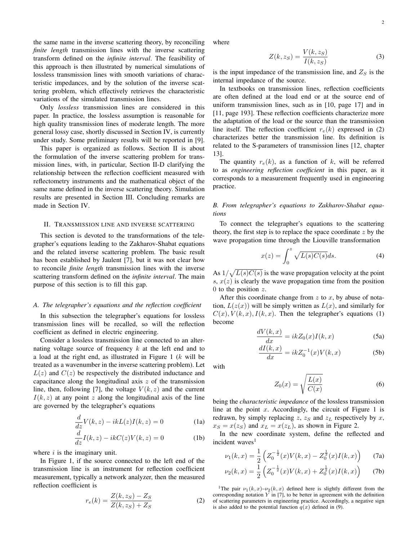the same name in the inverse scattering theory, by reconciling *finite length* transmission lines with the inverse scattering transform defined on the *infinite interval*. The feasibility of where

this approach is then illustrated by numerical simulations of lossless transmission lines with smooth variations of characteristic impedances, and by the solution of the inverse scattering problem, which effectively retrieves the characteristic variations of the simulated transmission lines.

Only *lossless* transmission lines are considered in this paper. In practice, the lossless assumption is reasonable for high quality transmission lines of moderate length. The more general lossy case, shortly discussed in Section IV, is currently under study. Some preliminary results will be reported in [9].

This paper is organized as follows. Section II is about the formulation of the inverse scattering problem for transmission lines, with, in particular, Section II-D clarifying the relationship between the reflection coefficient measured with reflectometry instruments and the mathematical object of the same name defined in the inverse scattering theory. Simulation results are presented in Section III. Concluding remarks are made in Section IV.

## II. TRANSMISSION LINE AND INVERSE SCATTERING

This section is devoted to the transformations of the telegrapher's equations leading to the Zakharov-Shabat equations and the related inverse scattering problem. The basic result has been established by Jaulent [7], but it was not clear how to reconcile *finite length* transmission lines with the inverse scattering transform defined on the *infinite interval*. The main purpose of this section is to fill this gap.

#### *A. The telegrapher's equations and the reflection coefficient*

In this subsection the telegrapher's equations for lossless transmission lines will be recalled, so will the reflection coefficient as defined in electric engineering.

Consider a lossless transmission line connected to an alternating voltage source of frequency  $k$  at the left end and to a load at the right end, as illustrated in Figure 1  $(k$  will be treated as a wavenumber in the inverse scattering problem). Let  $L(z)$  and  $C(z)$  be respectively the distributed inductance and capacitance along the longitudinal axis  $z$  of the transmission line, then, following [7], the voltage  $V(k, z)$  and the current  $I(k, z)$  at any point z along the longitudinal axis of the line are governed by the telegrapher's equations

$$
\frac{d}{dz}V(k,z) - ikL(z)I(k,z) = 0
$$
\n(1a)

$$
\frac{d}{dz}I(k,z) - ikC(z)V(k,z) = 0
$$
 (1b)

where  $i$  is the imaginary unit.

In Figure 1, if the source connected to the left end of the transmission line is an instrument for reflection coefficient measurement, typically a network analyzer, then the measured reflection coefficient is

$$
r_e(k) = \frac{Z(k, z_S) - Z_S}{Z(k, z_S) + Z_S}
$$
 (2)

$$
Z(k, z_S) = \frac{V(k, z_S)}{I(k, z_S)}
$$
(3)

is the input impedance of the transmission line, and  $Z<sub>S</sub>$  is the internal impedance of the source.

In textbooks on transmission lines, reflection coefficients are often defined at the load end or at the source end of uniform transmission lines, such as in [10, page 17] and in [11, page 193]. These reflection coefficients characterize more the adaptation of the load or the source than the transmission line itself. The reflection coefficient  $r_e(k)$  expressed in (2) characterizes better the transmission line. Its definition is related to the S-parameters of transmission lines [12, chapter 13].

The quantity  $r_e(k)$ , as a function of k, will be referred to as *engineering reflection coefficient* in this paper, as it corresponds to a measurement frequently used in engineering practice.

*B. From telegrapher's equations to Zakharov-Shabat equations*

To connect the telegrapher's equations to the scattering theory, the first step is to replace the space coordinate  $z$  by the wave propagation time through the Liouville transformation

$$
x(z) = \int_0^z \sqrt{L(s)C(s)}ds.
$$
 (4)

As  $1/\sqrt{L(s)C(s)}$  is the wave propagation velocity at the point s,  $x(z)$  is clearly the wave propagation time from the position 0 to the position  $z$ .

After this coordinate change from  $z$  to  $x$ , by abuse of notation,  $L(z(x))$  will be simply written as  $L(x)$ , and similarly for  $C(x)$ ,  $V(k, x)$ ,  $I(k, x)$ . Then the telegrapher's equations (1) become

$$
\frac{dV(k,x)}{dx} = ikZ_0(x)I(k,x)
$$
\n(5a)

$$
\frac{dI(k,x)}{dx} = ikZ_0^{-1}(x)V(k,x)
$$
\n(5b)

with

$$
Z_0(x) = \sqrt{\frac{L(x)}{C(x)}}\tag{6}
$$

being the *characteristic impedance* of the lossless transmission line at the point x. Accordingly, the circuit of Figure 1 is redrawn, by simply replacing  $z$ ,  $z_S$  and  $z_L$  respectively by x,  $x_S = x(z_S)$  and  $x_L = x(z_L)$ , as shown in Figure 2.

In the new coordinate system, define the reflected and incident waves<sup>1</sup>

$$
\nu_1(k,x) = \frac{1}{2} \left( Z_0^{-\frac{1}{2}}(x) V(k,x) - Z_0^{\frac{1}{2}}(x) I(k,x) \right) \tag{7a}
$$

$$
\nu_2(k,x) = \frac{1}{2} \left( Z_0^{-\frac{1}{2}}(x) V(k,x) + Z_0^{\frac{1}{2}}(x) I(k,x) \right) \tag{7b}
$$

<sup>1</sup>The pair  $\nu_1(k, x)-\nu_2(k, x)$  defined here is slightly different from the corresponding notation  $Y$  in [7], to be better in agreement with the definition of scattering parameters in engineering practice. Accordingly, a negative sign is also added to the potential function  $q(x)$  defined in (9).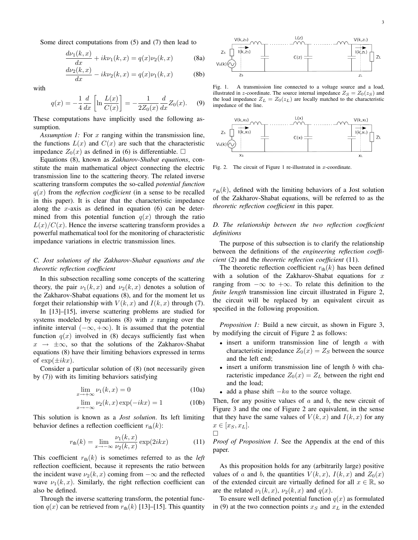Some direct computations from (5) and (7) then lead to

$$
\frac{d\nu_1(k,x)}{dx} + ik\nu_1(k,x) = q(x)\nu_2(k,x)
$$
 (8a)

$$
\frac{d\nu_2(k,x)}{dx} - ik\nu_2(k,x) = q(x)\nu_1(k,x)
$$
 (8b)

with

$$
q(x) = -\frac{1}{4} \frac{d}{dx} \left[ \ln \frac{L(x)}{C(x)} \right] = -\frac{1}{2Z_0(x)} \frac{d}{dx} Z_0(x). \tag{9}
$$

These computations have implicitly used the following assumption.

*Assumption 1:* For x ranging within the transmission line, the functions  $L(x)$  and  $C(x)$  are such that the characteristic impedance  $Z_0(x)$  as defined in (6) is differentiable.  $\square$ 

Equations (8), known as *Zakharov-Shabat equations*, constitute the main mathematical object connecting the electric transmission line to the scattering theory. The related inverse scattering transform computes the so-called *potential function*  $q(x)$  from the *reflection coefficient* (in a sense to be recalled in this paper). It is clear that the characteristic impedance along the x-axis as defined in equation  $(6)$  can be determined from this potential function  $q(x)$  through the ratio  $L(x)/C(x)$ . Hence the inverse scattering transform provides a powerful mathematical tool for the monitoring of characteristic impedance variations in electric transmission lines.

## *C. Jost solutions of the Zakharov-Shabat equations and the theoretic reflection coefficient*

In this subsection recalling some concepts of the scattering theory, the pair  $\nu_1(k, x)$  and  $\nu_2(k, x)$  denotes a solution of the Zakharov-Shabat equations (8), and for the moment let us forget their relationship with  $V(k, x)$  and  $I(k, x)$  through (7).

In [13]–[15], inverse scattering problems are studied for systems modeled by equations  $(8)$  with x ranging over the infinite interval  $(-\infty, +\infty)$ . It is assumed that the potential function  $q(x)$  involved in (8) decays sufficiently fast when  $x \rightarrow \pm \infty$ , so that the solutions of the Zakharov-Shabat equations (8) have their limiting behaviors expressed in terms of  $\exp(\pm ikx)$ .

Consider a particular solution of (8) (not necessarily given by (7)) with its limiting behaviors satisfying

$$
\lim_{x \to +\infty} \nu_1(k, x) = 0 \tag{10a}
$$

$$
\lim_{x \to -\infty} \nu_2(k, x) \exp(-ikx) = 1
$$
 (10b)

This solution is known as a *Jost solution*. Its left limiting behavior defines a reflection coefficient  $r_{\text{th}}(k)$ :

$$
r_{\text{th}}(k) = \lim_{x \to -\infty} \frac{\nu_1(k, x)}{\nu_2(k, x)} \exp(2ikx) \tag{11}
$$

This coefficient  $r_{\text{th}}(k)$  is sometimes referred to as the *left* reflection coefficient, because it represents the ratio between the incident wave  $\nu_2(k, x)$  coming from  $-\infty$  and the reflected wave  $\nu_1(k, x)$ . Similarly, the right reflection coefficient can also be defined.

Through the inverse scattering transform, the potential function  $q(x)$  can be retrieved from  $r_{\text{th}}(k)$  [13]–[15]. This quantity



Fig. 1. A transmission line connected to a voltage source and a load, illustrated in z-coordinate. The source internal impedance  $Z_S = Z_0(z_S)$  and the load impedance  $Z_L = Z_0(z_L)$  are locally matched to the characteristic impedance of the line.



Fig. 2. The circuit of Figure 1 re-illustrated in  $x$ -coordinate.

 $r_{\text{th}}(k)$ , defined with the limiting behaviors of a Jost solution of the Zakharov-Shabat equations, will be referred to as the *theoretic reflection coefficient* in this paper.

*D. The relationship between the two reflection coefficient definitions*

The purpose of this subsection is to clarify the relationship between the definitions of the *engineering reflection coefficient* (2) and the *theoretic reflection coefficient* (11).

The theoretic reflection coefficient  $r_{th}(k)$  has been defined with a solution of the Zakharov-Shabat equations for  $x$ ranging from  $-\infty$  to  $+\infty$ . To relate this definition to the *finite length* transmission line circuit illustrated in Figure 2, the circuit will be replaced by an equivalent circuit as specified in the following proposition.

*Proposition 1:* Build a new circuit, as shown in Figure 3, by modifying the circuit of Figure 2 as follows:

- $\bullet$  insert a uniform transmission line of length  $a$  with characteristic impedance  $Z_0(x) = Z_S$  between the source and the left end;
- $\bullet$  insert a uniform transmission line of length  $b$  with characteristic impedance  $Z_0(x) = Z_L$  between the right end and the load;
- add a phase shift  $-ka$  to the source voltage.

 $\Box$ 

Then, for any positive values of  $a$  and  $b$ , the new circuit of Figure 3 and the one of Figure 2 are equivalent, in the sense that they have the same values of  $V(k, x)$  and  $I(k, x)$  for any  $x \in [x_S, x_L].$ 

*Proof of Proposition 1.* See the Appendix at the end of this paper.

As this proposition holds for any (arbitrarily large) positive values of a and b, the quantities  $V(k, x)$ ,  $I(k, x)$  and  $Z_0(x)$ of the extended circuit are virtually defined for all  $x \in \mathbb{R}$ , so are the related  $\nu_1(k, x)$ ,  $\nu_2(k, x)$  and  $q(x)$ .

To ensure well defined potential function  $q(x)$  as formulated in (9) at the two connection points  $x_S$  and  $x_L$  in the extended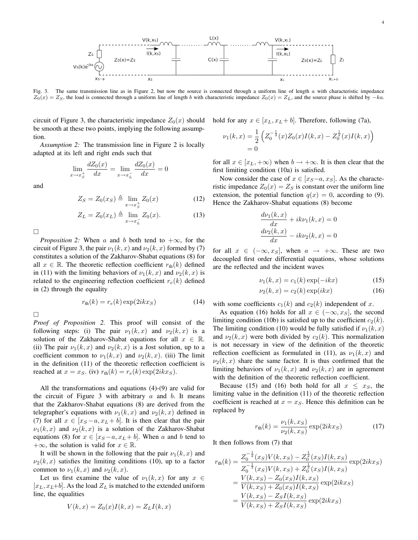

Fig. 3. The same transmission line as in Figure 2, but now the source is connected through a uniform line of length a with characteristic impedance  $\overline{Z_0}(x) = Z_S$ , the load is connected through a uniform line of length b with characteristic impedance  $Z_0(x) = Z_L$ , and the source phase is shifted by  $-ka$ .

circuit of Figure 3, the characteristic impedance  $Z_0(x)$  should be smooth at these two points, implying the following assumption.

*Assumption 2:* The transmission line in Figure 2 is locally adapted at its left and right ends such that

$$
\lim_{x \to x_5^+} \frac{dZ_0(x)}{dx} = \lim_{x \to x_L^-} \frac{dZ_0(x)}{dx} = 0
$$

and

$$
Z_S = Z_0(x_S) \triangleq \lim_{x \to x_S^+} Z_0(x) \tag{12}
$$

$$
Z_L = Z_0(x_L) \triangleq \lim_{x \to x_L^-} Z_0(x). \tag{13}
$$

 $\Box$ 

*Proposition 2:* When a and b both tend to  $+\infty$ , for the circuit of Figure 3, the pair  $\nu_1(k, x)$  and  $\nu_2(k, x)$  formed by (7) constitutes a solution of the Zakharov-Shabat equations (8) for all  $x \in \mathbb{R}$ . The theoretic reflection coefficient  $r_{\text{th}}(k)$  defined in (11) with the limiting behaviors of  $\nu_1(k, x)$  and  $\nu_2(k, x)$  is related to the engineering reflection coefficient  $r_e(k)$  defined in (2) through the equality

$$
r_{\text{th}}(k) = r_e(k) \exp(2ikx_S) \tag{14}
$$

 $\Box$ 

*Proof of Proposition 2.* This proof will consist of the following steps: (i) The pair  $\nu_1(k, x)$  and  $\nu_2(k, x)$  is a solution of the Zakharov-Shabat equations for all  $x \in \mathbb{R}$ . (ii) The pair  $\nu_1(k, x)$  and  $\nu_2(k, x)$  is a Jost solution, up to a coefficient common to  $\nu_1(k, x)$  and  $\nu_2(k, x)$ . (iii) The limit in the definition (11) of the theoretic reflection coefficient is reached at  $x = x_S$ . (iv)  $r_{\text{th}}(k) = r_e(k) \exp(2ikx_S)$ .

All the transformations and equations (4)-(9) are valid for the circuit of Figure 3 with arbitrary  $a$  and  $b$ . It means that the Zakharov-Shabat equations (8) are derived from the telegrapher's equations with  $\nu_1(k, x)$  and  $\nu_2(k, x)$  defined in (7) for all  $x \in [x_S - a, x_L + b]$ . It is then clear that the pair  $\nu_1(k, x)$  and  $\nu_2(k, x)$  is a solution of the Zakharov-Shabat equations (8) for  $x \in [x_S - a, x_L + b]$ . When a and b tend to + $\infty$ , the solution is valid for  $x \in \mathbb{R}$ .

It will be shown in the following that the pair  $\nu_1(k, x)$  and  $\nu_2(k, x)$  satisfies the limiting conditions (10), up to a factor common to  $\nu_1(k, x)$  and  $\nu_2(k, x)$ .

Let us first examine the value of  $\nu_1(k, x)$  for any  $x \in$  $[x_L, x_L+b]$ . As the load  $Z_L$  is matched to the extended uniform line, the equalities

$$
V(k, x) = Z_0(x)I(k, x) = Z_L I(k, x)
$$

hold for any  $x \in [x_L, x_L + b]$ . Therefore, following (7a),

$$
\nu_1(k,x) = \frac{1}{2} \left( Z_0^{-\frac{1}{2}}(x) Z_0(x) I(k,x) - Z_0^{\frac{1}{2}}(x) I(k,x) \right)
$$
  
= 0

for all  $x \in [x_L, +\infty)$  when  $b \to +\infty$ . It is then clear that the first limiting condition (10a) is satisfied.

Now consider the case of  $x \in [x_S-a, x_S]$ . As the characteristic impedance  $Z_0(x) = Z_S$  is constant over the uniform line extension, the potential function  $q(x) = 0$ , according to (9). Hence the Zakharov-Shabat equations (8) become

$$
\frac{d\nu_1(k,x)}{dx} + ik\nu_1(k,x) = 0
$$

$$
\frac{d\nu_2(k,x)}{dx} - ik\nu_2(k,x) = 0
$$

for all  $x \in (-\infty, x_S]$ , when  $a \to +\infty$ . These are two decoupled first order differential equations, whose solutions are the reflected and the incident waves

$$
\nu_1(k, x) = c_1(k) \exp(-ikx) \tag{15}
$$

$$
\nu_2(k, x) = c_2(k) \exp(ikx) \tag{16}
$$

with some coefficients  $c_1(k)$  and  $c_2(k)$  independent of x.

As equation (16) holds for all  $x \in (-\infty, x_S]$ , the second limiting condition (10b) is satisfied up to the coefficient  $c_2(k)$ . The limiting condition (10) would be fully satisfied if  $\nu_1(k, x)$ and  $\nu_2(k, x)$  were both divided by  $c_2(k)$ . This normalization is not necessary in view of the definition of the theoretic reflection coefficient as formulated in (11), as  $\nu_1(k, x)$  and  $\nu_2(k, x)$  share the same factor. It is thus confirmed that the limiting behaviors of  $\nu_1(k, x)$  and  $\nu_2(k, x)$  are in agreement with the definition of the theoretic reflection coefficient.

Because (15) and (16) both hold for all  $x \leq x_s$ , the limiting value in the definition (11) of the theoretic reflection coefficient is reached at  $x = x<sub>S</sub>$ . Hence this definition can be replaced by

$$
r_{\rm th}(k) = \frac{\nu_1(k, x_S)}{\nu_2(k, x_S)} \exp(2ikx_S)
$$
 (17)

It then follows from (7) that

$$
r_{\text{th}}(k) = \frac{Z_0^{-\frac{1}{2}}(x_S)V(k, x_S) - Z_0^{\frac{1}{2}}(x_S)I(k, x_S)}{Z_0^{-\frac{1}{2}}(x_S)V(k, x_S) + Z_0^{\frac{1}{2}}(x_S)I(k, x_S)}
$$
  
= 
$$
\frac{V(k, x_S) - Z_0(x_S)I(k, x_S)}{V(k, x_S) + Z_0(x_S)I(k, x_S)}
$$
exp(2ikx<sub>S</sub>)  
= 
$$
\frac{V(k, x_S) - Z_S I(k, x_S)}{V(k, x_S) + Z_S I(k, x_S)}
$$
exp(2ikx<sub>S</sub>)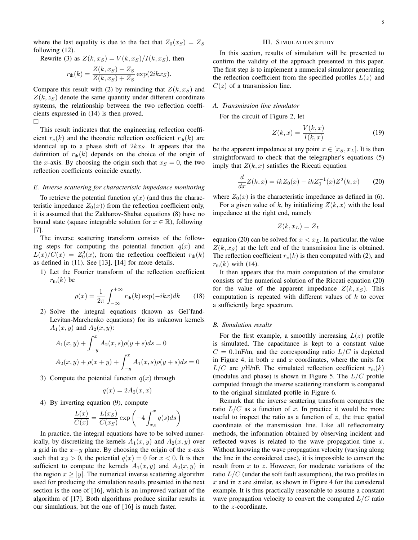where the last equality is due to the fact that  $Z_0(x_S) = Z_S$ following (12).

Rewrite (3) as  $Z(k, x_S) = V(k, x_S)/I(k, x_S)$ , then

$$
r_{\text{th}}(k) = \frac{Z(k, x_S) - Z_S}{Z(k, x_S) + Z_S} \exp(2ikx_S).
$$

Compare this result with (2) by reminding that  $Z(k, x_S)$  and  $Z(k, z<sub>S</sub>)$  denote the same quantity under different coordinate systems, the relationship between the two reflection coefficients expressed in (14) is then proved.  $\Box$ 

This result indicates that the engineering reflection coefficient  $r_e(k)$  and the theoretic reflection coefficient  $r_{th}(k)$  are identical up to a phase shift of  $2kx<sub>S</sub>$ . It appears that the definition of  $r_{\text{th}}(k)$  depends on the choice of the origin of the x-axis. By choosing the origin such that  $x_S = 0$ , the two reflection coefficients coincide exactly.

## *E. Inverse scattering for characteristic impedance monitoring*

To retrieve the potential function  $q(x)$  (and thus the characteristic impedance  $Z_0(x)$  from the reflection coefficient only, it is assumed that the Zakharov-Shabat equations (8) have no bound state (square integrable solution for  $x \in \mathbb{R}$ ), following [7].

The inverse scattering transform consists of the following steps for computing the potential function  $q(x)$  and  $L(x)/C(x) = Z_0^2(x)$ , from the reflection coefficient  $r_{\text{th}}(k)$ as defined in (11). See [13], [14] for more details.

1) Let the Fourier transform of the reflection coefficient  $r_{\text{th}}(k)$  be

$$
\rho(x) = \frac{1}{2\pi} \int_{-\infty}^{+\infty} r_{\text{th}}(k) \exp(-ikx) dk \qquad (18)
$$

2) Solve the integral equations (known as Gel'fand-Levitan-Marchenko equations) for its unknown kernels  $A_1(x, y)$  and  $A_2(x, y)$ :

$$
A_1(x, y) + \int_{-y}^{x} A_2(x, s)\rho(y+s)ds = 0
$$
  

$$
A_2(x, y) + \rho(x+y) + \int_{-y}^{x} A_1(x, s)\rho(y+s)ds = 0
$$

3) Compute the potential function  $q(x)$  through

$$
q(x) = 2A_2(x, x)
$$

4) By inverting equation (9), compute

$$
\frac{L(x)}{C(x)} = \frac{L(x_S)}{C(x_S)} \exp\left(-4 \int_{x_S}^x q(s)ds\right)
$$

In practice, the integral equations have to be solved numerically, by discretizing the kernels  $A_1(x, y)$  and  $A_2(x, y)$  over a grid in the  $x-y$  plane. By choosing the origin of the x-axis such that  $x_S > 0$ , the potential  $q(x) = 0$  for  $x < 0$ . It is then sufficient to compute the kernels  $A_1(x, y)$  and  $A_2(x, y)$  in the region  $x \ge |y|$ . The numerical inverse scattering algorithm used for producing the simulation results presented in the next section is the one of [16], which is an improved variant of the algorithm of [17]. Both algorithms produce similar results in our simulations, but the one of [16] is much faster.

#### III. SIMULATION STUDY

In this section, results of simulation will be presented to confirm the validity of the approach presented in this paper. The first step is to implement a numerical simulator generating the reflection coefficient from the specified profiles  $L(z)$  and  $C(z)$  of a transmission line.

#### *A. Transmission line simulator*

For the circuit of Figure 2, let

$$
Z(k,x) = \frac{V(k,x)}{I(k,x)}\tag{19}
$$

be the apparent impedance at any point  $x \in [x_S, x_L]$ . It is then straightforward to check that the telegrapher's equations (5) imply that  $Z(k, x)$  satisfies the Riccati equation

$$
\frac{d}{dx}Z(k,x) = ikZ_0(x) - ikZ_0^{-1}(x)Z^2(k,x)
$$
 (20)

where  $Z_0(x)$  is the characteristic impedance as defined in (6).

For a given value of k, by initializing  $Z(k, x)$  with the load impedance at the right end, namely

$$
Z(k, x_L) = Z_L
$$

equation (20) can be solved for  $x < x_L$ . In particular, the value  $Z(k, x_S)$  at the left end of the transmission line is obtained. The reflection coefficient  $r_e(k)$  is then computed with (2), and  $r_{\text{th}}(k)$  with (14).

It then appears that the main computation of the simulator consists of the numerical solution of the Riccati equation (20) for the value of the apparent impedance  $Z(k, x_S)$ . This computation is repeated with different values of  $k$  to cover a sufficiently large spectrum.

#### *B. Simulation results*

For the first example, a smoothly increasing  $L(z)$  profile is simulated. The capacitance is kept to a constant value  $C = 0.1$ nF/m, and the corresponding ratio  $L/C$  is depicted in Figure 4, in both  $z$  and  $x$  coordinates, where the units for  $L/C$  are  $\mu$ H/nF. The simulated reflection coefficient  $r_{\text{th}}(k)$ (modulus and phase) is shown in Figure 5. The  $L/C$  profile computed through the inverse scattering transform is compared to the original simulated profile in Figure 6.

Remark that the inverse scattering transform computes the ratio  $L/C$  as a function of x. In practice it would be more useful to inspect the ratio as a function of  $z$ , the true spatial coordinate of the transmission line. Like all reflectometry methods, the information obtained by observing incident and reflected waves is related to the wave propagation time  $x$ . Without knowing the wave propagation velocity (varying along the line in the considered case), it is impossible to convert the result from  $x$  to  $z$ . However, for moderate variations of the ratio  $L/C$  (under the soft fault assumption), the two profiles in  $x$  and in  $z$  are similar, as shown in Figure 4 for the considered example. It is thus practically reasonable to assume a constant wave propagation velocity to convert the computed  $L/C$  ratio to the z-coordinate.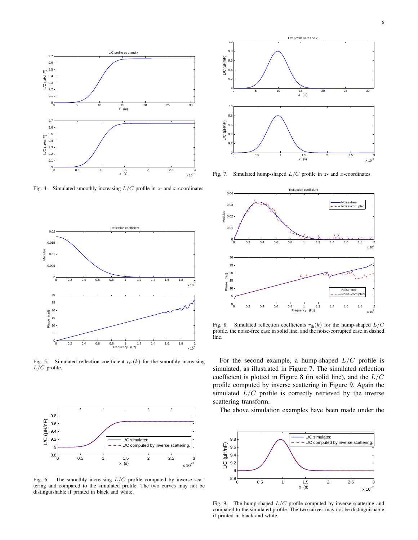

Fig. 4. Simulated smoothly increasing  $L/C$  profile in  $z$ - and  $x$ -coordinates.



Fig. 5. Simulated reflection coefficient  $r_{\text{th}}(k)$  for the smoothly increasing  $L/C$  profile.



Fig. 6. The smoothly increasing  $L/C$  profile computed by inverse scattering and compared to the simulated profile. The two curves may not be distinguishable if printed in black and white.



Fig. 7. Simulated hump-shaped  $L/C$  profile in  $z$ - and  $x$ -coordinates.



Fig. 8. Simulated reflection coefficients  $r_{\text{th}}(k)$  for the hump-shaped  $L/C$ profile, the noise-free case in solid line, and the noise-corrupted case in dashed line.

For the second example, a hump-shaped  $L/C$  profile is simulated, as illustrated in Figure 7. The simulated reflection coefficient is plotted in Figure 8 (in solid line), and the  $L/C$ profile computed by inverse scattering in Figure 9. Again the simulated  $L/C$  profile is correctly retrieved by the inverse scattering transform.

The above simulation examples have been made under the



Fig. 9. The hump-shaped  $L/C$  profile computed by inverse scattering and compared to the simulated profile. The two curves may not be distinguishable if printed in black and white.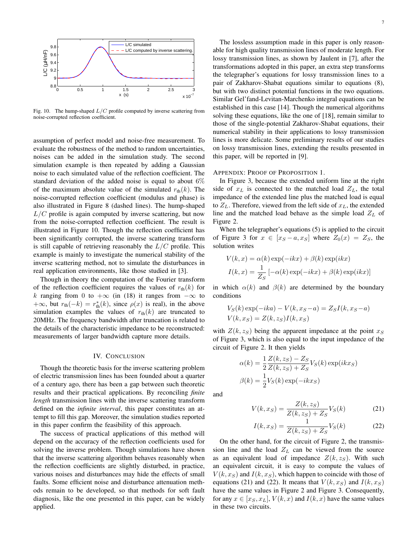

Fig. 10. The hump-shaped  $L/C$  profile computed by inverse scattering from noise-corrupted reflection coefficient.

assumption of perfect model and noise-free measurement. To evaluate the robustness of the method to random uncertainties, noises can be added in the simulation study. The second simulation example is then repeated by adding a Gaussian noise to each simulated value of the reflection coefficient. The standard deviation of the added noise is equal to about  $6\%$ of the maximum absolute value of the simulated  $r_{\text{th}}(k)$ . The noise-corrupted reflection coefficient (modulus and phase) is also illustrated in Figure 8 (dashed lines). The hump-shaped  $L/C$  profile is again computed by inverse scattering, but now from the noise-corrupted reflection coefficient. The result is illustrated in Figure 10. Though the reflection coefficient has been significantly corrupted, the inverse scattering transform is still capable of retrieving reasonably the  $L/C$  profile. This example is mainly to investigate the numerical stability of the inverse scattering method, not to simulate the disturbances in real application environments, like those studied in [3].

Though in theory the computation of the Fourier transform of the reflection coefficient requires the values of  $r_{\text{th}}(k)$  for k ranging from 0 to  $+\infty$  (in (18) it ranges from  $-\infty$  to  $+\infty$ , but  $r_{\text{th}}(-k) = r_{\text{th}}^{*}(k)$ , since  $\rho(x)$  is real), in the above simulation examples the values of  $r_{\text{th}}(k)$  are truncated to 20MHz. The frequency bandwidth after truncation is related to the details of the characteristic impedance to be reconstructed: measurements of larger bandwidth capture more details.

#### IV. CONCLUSION

Though the theoretic basis for the inverse scattering problem of electric transmission lines has been founded about a quarter of a century ago, there has been a gap between such theoretic results and their practical applications. By reconciling *finite length* transmission lines with the inverse scattering transform defined on the *infinite interval*, this paper constitutes an attempt to fill this gap. Moreover, the simulation studies reported in this paper confirm the feasibility of this approach.

The success of practical applications of this method will depend on the accuracy of the reflection coefficients used for solving the inverse problem. Though simulations have shown that the inverse scattering algorithm behaves reasonably when the reflection coefficients are slightly disturbed, in practice, various noises and disturbances may hide the effects of small faults. Some efficient noise and disturbance attenuation methods remain to be developed, so that methods for soft fault diagnosis, like the one presented in this paper, can be widely applied.

The lossless assumption made in this paper is only reasonable for high quality transmission lines of moderate length. For lossy transmission lines, as shown by Jaulent in [7], after the transformations adopted in this paper, an extra step transforms the telegrapher's equations for lossy transmission lines to a pair of Zakharov-Shabat equations similar to equations (8), but with two distinct potential functions in the two equations. Similar Gel'fand-Levitan-Marchenko integral equations can be established in this case [14]. Though the numerical algorithms solving these equations, like the one of [18], remain similar to those of the single-potential Zakharov-Shabat equations, their numerical stability in their applications to lossy transmission lines is more delicate. Some preliminary results of our studies on lossy transmission lines, extending the results presented in this paper, will be reported in [9].

#### APPENDIX: PROOF OF PROPOSITION 1.

In Figure 3, because the extended uniform line at the right side of  $x_L$  is connected to the matched load  $Z_L$ , the total impedance of the extended line plus the matched load is equal to  $Z_L$ . Therefore, viewed from the left side of  $x_L$ , the extended line and the matched load behave as the simple load  $Z_L$  of Figure 2.

When the telegrapher's equations (5) is applied to the circuit of Figure 3 for  $x \in [x_S - a, x_S]$  where  $Z_0(x) = Z_S$ , the solution writes

$$
V(k, x) = \alpha(k) \exp(-ikx) + \beta(k) \exp(ikx)
$$

$$
I(k, x) = \frac{1}{Z_S} \left[ -\alpha(k) \exp(-ikx) + \beta(k) \exp(ikx) \right]
$$

in which  $\alpha(k)$  and  $\beta(k)$  are determined by the boundary conditions

$$
V_S(k) \exp(-ika) - V(k, x_S - a) = Z_S I(k, x_S - a)
$$
  

$$
V(k, x_S) = Z(k, z_S)I(k, x_S)
$$

with  $Z(k, z<sub>S</sub>)$  being the apparent impedance at the point  $x<sub>S</sub>$ of Figure 3, which is also equal to the input impedance of the circuit of Figure 2. It then yields

$$
\alpha(k) = \frac{1}{2} \frac{Z(k, z_S) - Z_S}{Z(k, z_S) + Z_S} V_S(k) \exp(ikx_S)
$$

$$
\beta(k) = \frac{1}{2} V_S(k) \exp(-ikx_S)
$$

and

$$
V(k, x_S) = \frac{Z(k, z_S)}{Z(k, z_S) + Z_S} V_S(k)
$$
 (21)

$$
I(k, x_S) = \frac{1}{Z(k, z_S) + Z_S} V_S(k)
$$
 (22)

On the other hand, for the circuit of Figure 2, the transmission line and the load  $Z_L$  can be viewed from the source as an equivalent load of impedance  $Z(k, z_S)$ . With such an equivalent circuit, it is easy to compute the values of  $V(k, x<sub>S</sub>)$  and  $I(k, x<sub>S</sub>)$ , which happen to coincide with those of equations (21) and (22). It means that  $V(k, x_S)$  and  $I(k, x_S)$ have the same values in Figure 2 and Figure 3. Consequently, for any  $x \in [x_S, x_L]$ ,  $V(k, x)$  and  $I(k, x)$  have the same values in these two circuits.